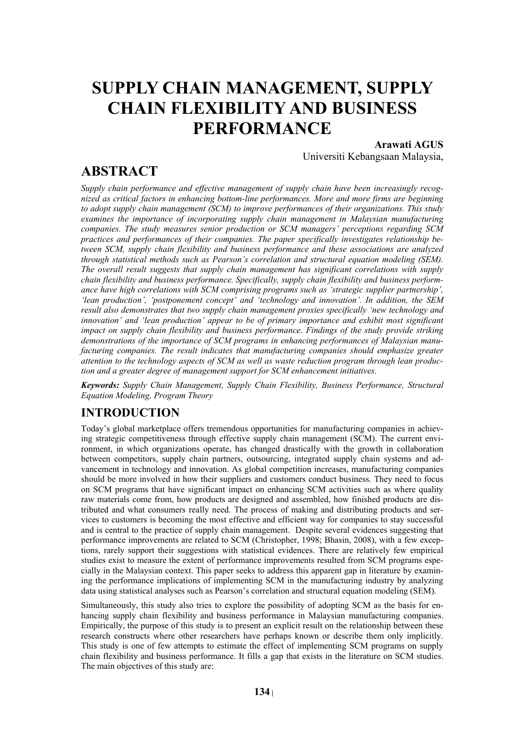# **SUPPLY CHAIN MANAGEMENT, SUPPLY CHAIN FLEXIBILITY AND BUSINESS PERFORMANCE**

### **Arawati AGUS**

## **ABSTRACT**

Universiti Kebangsaan Malaysia,

*Supply chain performance and effective management of supply chain have been increasingly recognized as critical factors in enhancing bottom-line performances. More and more firms are beginning to adopt supply chain management (SCM) to improve performances of their organizations. This study examines the importance of incorporating supply chain management in Malaysian manufacturing companies. The study measures senior production or SCM managers' perceptions regarding SCM practices and performances of their companies. The paper specifically investigates relationship between SCM, supply chain flexibility and business performance and these associations are analyzed through statistical methods such as Pearson's correlation and structural equation modeling (SEM). The overall result suggests that supply chain management has significant correlations with supply chain flexibility and business performance. Specifically, supply chain flexibility and business performance have high correlations with SCM comprising programs such as 'strategic supplier partnership', 'lean production', 'postponement concept' and 'technology and innovation'. In addition, the SEM result also demonstrates that two supply chain management proxies specifically 'new technology and innovation' and 'lean production' appear to be of primary importance and exhibit most significant impact on supply chain flexibility and business performance. Findings of the study provide striking demonstrations of the importance of SCM programs in enhancing performances of Malaysian manufacturing companies. The result indicates that manufacturing companies should emphasize greater attention to the technology aspects of SCM as well as waste reduction program through lean production and a greater degree of management support for SCM enhancement initiatives.* 

*Keywords: Supply Chain Management, Supply Chain Flexibility, Business Performance, Structural Equation Modeling, Program Theory*

### **INTRODUCTION**

Today's global marketplace offers tremendous opportunities for manufacturing companies in achieving strategic competitiveness through effective supply chain management (SCM). The current environment, in which organizations operate, has changed drastically with the growth in collaboration between competitors, supply chain partners, outsourcing, integrated supply chain systems and advancement in technology and innovation. As global competition increases, manufacturing companies should be more involved in how their suppliers and customers conduct business. They need to focus on SCM programs that have significant impact on enhancing SCM activities such as where quality raw materials come from, how products are designed and assembled, how finished products are distributed and what consumers really need. The process of making and distributing products and services to customers is becoming the most effective and efficient way for companies to stay successful and is central to the practice of supply chain management. Despite several evidences suggesting that performance improvements are related to SCM (Christopher, 1998; Bhasin, 2008), with a few exceptions, rarely support their suggestions with statistical evidences. There are relatively few empirical studies exist to measure the extent of performance improvements resulted from SCM programs especially in the Malaysian context. This paper seeks to address this apparent gap in literature by examining the performance implications of implementing SCM in the manufacturing industry by analyzing data using statistical analyses such as Pearson's correlation and structural equation modeling (SEM).

Simultaneously, this study also tries to explore the possibility of adopting SCM as the basis for enhancing supply chain flexibility and business performance in Malaysian manufacturing companies. Empirically, the purpose of this study is to present an explicit result on the relationship between these research constructs where other researchers have perhaps known or describe them only implicitly. This study is one of few attempts to estimate the effect of implementing SCM programs on supply chain flexibility and business performance. It fills a gap that exists in the literature on SCM studies. The main objectives of this study are: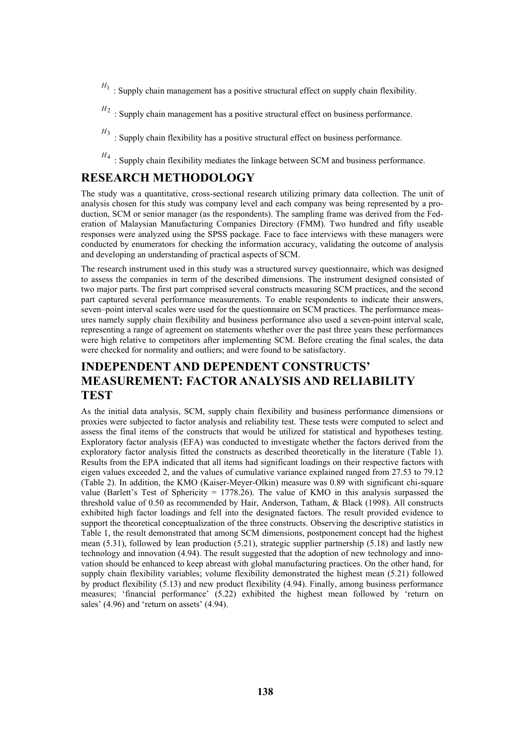- $H_1$ : Supply chain management has a positive structural effect on supply chain flexibility.
- $H_2$ : Supply chain management has a positive structural effect on business performance.
- $H_3$ : Supply chain flexibility has a positive structural effect on business performance.
- $H_4$ : Supply chain flexibility mediates the linkage between SCM and business performance.

#### **RESEARCH METHODOLOGY**

The study was a quantitative, cross-sectional research utilizing primary data collection. The unit of analysis chosen for this study was company level and each company was being represented by a production, SCM or senior manager (as the respondents). The sampling frame was derived from the Federation of Malaysian Manufacturing Companies Directory (FMM). Two hundred and fifty useable responses were analyzed using the SPSS package. Face to face interviews with these managers were conducted by enumerators for checking the information accuracy, validating the outcome of analysis and developing an understanding of practical aspects of SCM.

The research instrument used in this study was a structured survey questionnaire, which was designed to assess the companies in term of the described dimensions. The instrument designed consisted of two major parts. The first part comprised several constructs measuring SCM practices, and the second part captured several performance measurements. To enable respondents to indicate their answers, seven–point interval scales were used for the questionnaire on SCM practices. The performance measures namely supply chain flexibility and business performance also used a seven-point interval scale, representing a range of agreement on statements whether over the past three years these performances were high relative to competitors after implementing SCM. Before creating the final scales, the data were checked for normality and outliers; and were found to be satisfactory.

### **INDEPENDENT AND DEPENDENT CONSTRUCTS' MEASUREMENT: FACTOR ANALYSIS AND RELIABILITY TEST**

As the initial data analysis, SCM, supply chain flexibility and business performance dimensions or proxies were subjected to factor analysis and reliability test. These tests were computed to select and assess the final items of the constructs that would be utilized for statistical and hypotheses testing. Exploratory factor analysis (EFA) was conducted to investigate whether the factors derived from the exploratory factor analysis fitted the constructs as described theoretically in the literature (Table 1). Results from the EPA indicated that all items had significant loadings on their respective factors with eigen values exceeded 2, and the values of cumulative variance explained ranged from 27.53 to 79.12 (Table 2). In addition, the KMO (Kaiser-Meyer-Olkin) measure was 0.89 with significant chi-square value (Barlett's Test of Sphericity = 1778.26). The value of KMO in this analysis surpassed the threshold value of 0.50 as recommended by Hair, Anderson, Tatham, & Black (1998). All constructs exhibited high factor loadings and fell into the designated factors. The result provided evidence to support the theoretical conceptualization of the three constructs. Observing the descriptive statistics in Table 1, the result demonstrated that among SCM dimensions, postponement concept had the highest mean (5.31), followed by lean production (5.21), strategic supplier partnership (5.18) and lastly new technology and innovation (4.94). The result suggested that the adoption of new technology and innovation should be enhanced to keep abreast with global manufacturing practices. On the other hand, for supply chain flexibility variables; volume flexibility demonstrated the highest mean (5.21) followed by product flexibility (5.13) and new product flexibility (4.94). Finally, among business performance measures; 'financial performance' (5.22) exhibited the highest mean followed by 'return on sales' (4.96) and 'return on assets' (4.94).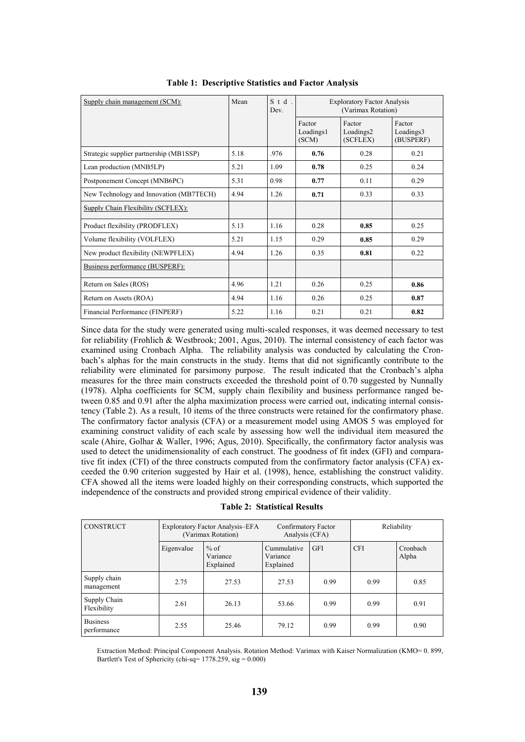| Supply chain management (SCM):          | Mean | $S$ t d<br>Dev. | <b>Exploratory Factor Analysis</b><br>(Varimax Rotation) |                                 |                                  |
|-----------------------------------------|------|-----------------|----------------------------------------------------------|---------------------------------|----------------------------------|
|                                         |      |                 | Factor<br>Loadings1<br>(SCM)                             | Factor<br>Loadings2<br>(SCFLEX) | Factor<br>Loadings3<br>(BUSPERF) |
| Strategic supplier partnership (MB1SSP) | 5.18 | .976            | 0.76                                                     | 0.28                            | 0.21                             |
| Lean production (MNB5LP)                | 5.21 | 1.09            | 0.78                                                     | 0.25                            | 0.24                             |
| Postponement Concept (MNB6PC)           | 5.31 | 0.98            | 0.77                                                     | 0.11                            | 0.29                             |
| New Technology and Innovation (MB7TECH) | 4.94 | 1.26            | 0.71                                                     | 0.33                            | 0.33                             |
| Supply Chain Flexibility (SCFLEX):      |      |                 |                                                          |                                 |                                  |
| Product flexibility (PRODFLEX)          | 5.13 | 1.16            | 0.28                                                     | 0.85                            | 0.25                             |
| Volume flexibility (VOLFLEX)            | 5.21 | 1.15            | 0.29                                                     | 0.85                            | 0.29                             |
| New product flexibility (NEWPFLEX)      | 4.94 | 1.26            | 0.35                                                     | 0.81                            | 0.22                             |
| Business performance (BUSPERF):         |      |                 |                                                          |                                 |                                  |
| Return on Sales (ROS)                   | 4.96 | 1.21            | 0.26                                                     | 0.25                            | 0.86                             |
| Return on Assets (ROA)                  | 4.94 | 1.16            | 0.26                                                     | 0.25                            | 0.87                             |
| Financial Performance (FINPERF)         | 5.22 | 1.16            | 0.21                                                     | 0.21                            | 0.82                             |

| <b>Table 1: Descriptive Statistics and Factor Analysis</b> |  |
|------------------------------------------------------------|--|
|------------------------------------------------------------|--|

Since data for the study were generated using multi-scaled responses, it was deemed necessary to test for reliability (Frohlich & Westbrook; 2001, Agus, 2010). The internal consistency of each factor was examined using Cronbach Alpha. The reliability analysis was conducted by calculating the Cronbach's alphas for the main constructs in the study. Items that did not significantly contribute to the reliability were eliminated for parsimony purpose. The result indicated that the Cronbach's alpha measures for the three main constructs exceeded the threshold point of 0.70 suggested by Nunnally (1978). Alpha coefficients for SCM, supply chain flexibility and business performance ranged between 0.85 and 0.91 after the alpha maximization process were carried out, indicating internal consistency (Table 2). As a result, 10 items of the three constructs were retained for the confirmatory phase. The confirmatory factor analysis (CFA) or a measurement model using AMOS 5 was employed for examining construct validity of each scale by assessing how well the individual item measured the scale (Ahire, Golhar & Waller, 1996; Agus, 2010). Specifically, the confirmatory factor analysis was used to detect the unidimensionality of each construct. The goodness of fit index (GFI) and comparative fit index (CFI) of the three constructs computed from the confirmatory factor analysis (CFA) exceeded the 0.90 criterion suggested by Hair et al. (1998), hence, establishing the construct validity. CFA showed all the items were loaded highly on their corresponding constructs, which supported the independence of the constructs and provided strong empirical evidence of their validity.

**Table 2: Statistical Results**

| <b>CONSTRUCT</b>               |            | Exploratory Factor Analysis–EFA<br>(Varimax Rotation) | Confirmatory Factor<br>Analysis (CFA) |            | Reliability |                   |
|--------------------------------|------------|-------------------------------------------------------|---------------------------------------|------------|-------------|-------------------|
|                                | Eigenvalue | $%$ of<br>Variance<br>Explained                       | Cummulative<br>Variance<br>Explained  | <b>GFI</b> | <b>CFI</b>  | Cronbach<br>Alpha |
| Supply chain<br>management     | 2.75       | 27.53                                                 | 27.53                                 | 0.99       | 0.99        | 0.85              |
| Supply Chain<br>Flexibility    | 2.61       | 26.13                                                 | 53.66                                 | 0.99       | 0.99        | 0.91              |
| <b>Business</b><br>performance | 2.55       | 25.46                                                 | 79.12                                 | 0.99       | 0.99        | 0.90              |

Extraction Method: Principal Component Analysis. Rotation Method: Varimax with Kaiser Normalization (KMO= 0. 899, Bartlett's Test of Sphericity (chi-sq= 1778.259, sig = 0.000)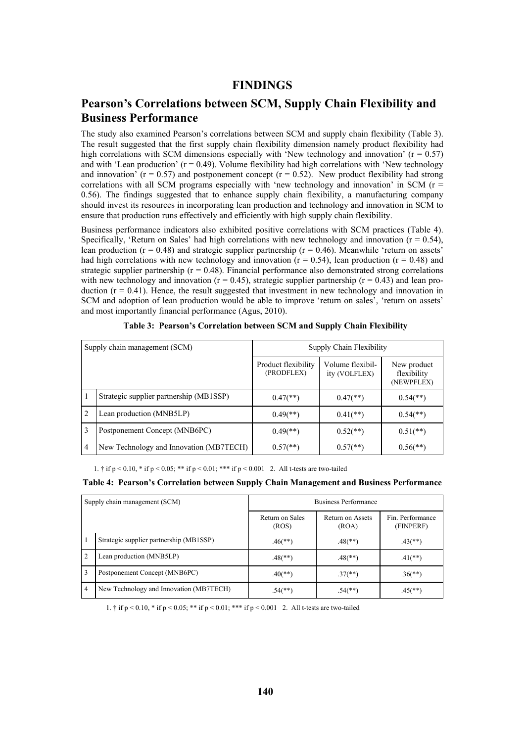#### **FINDINGS**

### **Pearson's Correlations between SCM, Supply Chain Flexibility and Business Performance**

The study also examined Pearson's correlations between SCM and supply chain flexibility (Table 3). The result suggested that the first supply chain flexibility dimension namely product flexibility had high correlations with SCM dimensions especially with 'New technology and innovation'  $(r = 0.57)$ and with 'Lean production'  $(r = 0.49)$ . Volume flexibility had high correlations with 'New technology and innovation' ( $r = 0.57$ ) and postponement concept ( $r = 0.52$ ). New product flexibility had strong correlations with all SCM programs especially with 'new technology and innovation' in SCM ( $r =$ 0.56). The findings suggested that to enhance supply chain flexibility, a manufacturing company should invest its resources in incorporating lean production and technology and innovation in SCM to ensure that production runs effectively and efficiently with high supply chain flexibility.

Business performance indicators also exhibited positive correlations with SCM practices (Table 4). Specifically, 'Return on Sales' had high correlations with new technology and innovation ( $r = 0.54$ ). lean production ( $r = 0.48$ ) and strategic supplier partnership ( $r = 0.46$ ). Meanwhile 'return on assets' had high correlations with new technology and innovation ( $r = 0.54$ ), lean production ( $r = 0.48$ ) and strategic supplier partnership ( $r = 0.48$ ). Financial performance also demonstrated strong correlations with new technology and innovation ( $r = 0.45$ ), strategic supplier partnership ( $r = 0.43$ ) and lean production  $(r = 0.41)$ . Hence, the result suggested that investment in new technology and innovation in SCM and adoption of lean production would be able to improve 'return on sales', 'return on assets' and most importantly financial performance (Agus, 2010).

|                | Supply chain management (SCM)           | Supply Chain Flexibility          |                                   |                                          |
|----------------|-----------------------------------------|-----------------------------------|-----------------------------------|------------------------------------------|
|                |                                         | Product flexibility<br>(PRODFLEX) | Volume flexibil-<br>ity (VOLFLEX) | New product<br>flexibility<br>(NEWPFLEX) |
|                | Strategic supplier partnership (MB1SSP) | $0.47$ <sup>**</sup> )            | $0.47$ <sup>**</sup> )            | $0.54$ <sup>**</sup> )                   |
| $\overline{2}$ | Lean production (MNB5LP)                | $0.49$ <sup>**</sup> )            | $0.41$ (**)                       | $0.54$ <sup>(**)</sup> )                 |
| <sup>3</sup>   | Postponement Concept (MNB6PC)           | $0.49$ <sup>**</sup> )            | $0.52$ (**)                       | $0.51$ (**)                              |
| $\overline{4}$ | New Technology and Innovation (MB7TECH) | $0.57$ <sup>**</sup> )            | $0.57$ <sup>**</sup> )            | $0.56$ <sup>**</sup> )                   |

**Table 3: Pearson's Correlation between SCM and Supply Chain Flexibility**

1. † if  $p \le 0.10$ , \* if  $p \le 0.05$ ; \*\* if  $p \le 0.01$ ; \*\*\* if  $p \le 0.001$  2. All t-tests are two-tailed

#### **Table 4: Pearson's Correlation between Supply Chain Management and Business Performance**

|                | Supply chain management (SCM)           | Business Performance     |                           |                               |
|----------------|-----------------------------------------|--------------------------|---------------------------|-------------------------------|
|                |                                         | Return on Sales<br>(ROS) | Return on Assets<br>(ROA) | Fin. Performance<br>(FINPERF) |
| 1              | Strategic supplier partnership (MB1SSP) | $.46$ (**)               | $.48$ (**)                | $.43$ <sup>(**)</sup> )       |
| $\overline{2}$ | Lean production (MNB5LP)                | $.48$ (**)               | $.48$ (**)                | $.41$ (**)                    |
| $\overline{1}$ | Postponement Concept (MNB6PC)           | $.40$ (**)               | $.37$ <sup>(**)</sup> )   | $.36$ <sup>(**)</sup> )       |
| l 4            | New Technology and Innovation (MB7TECH) | $.54$ <sup>(**)</sup> )  | $.54$ <sup>(**)</sup> )   | $.45$ <sup>**</sup> )         |

1. † if  $p < 0.10$ , \* if  $p < 0.05$ ; \*\* if  $p < 0.01$ ; \*\*\* if  $p < 0.001$  2. All t-tests are two-tailed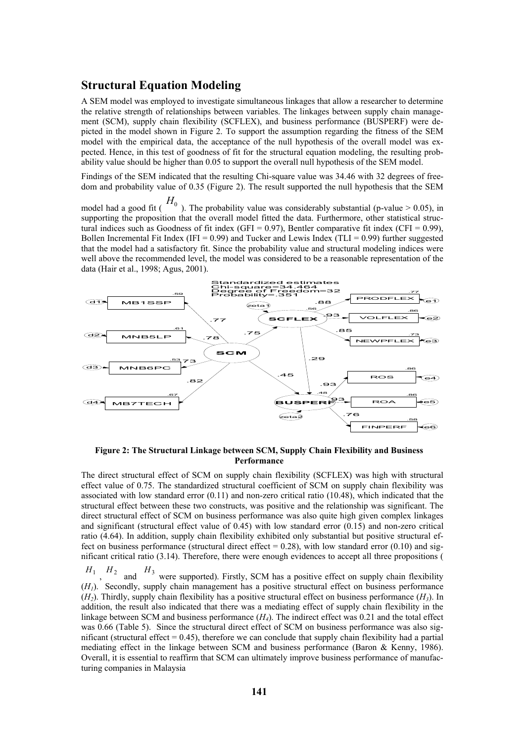#### **Structural Equation Modeling**

A SEM model was employed to investigate simultaneous linkages that allow a researcher to determine the relative strength of relationships between variables. The linkages between supply chain management (SCM), supply chain flexibility (SCFLEX), and business performance (BUSPERF) were depicted in the model shown in Figure 2. To support the assumption regarding the fitness of the SEM model with the empirical data, the acceptance of the null hypothesis of the overall model was expected. Hence, in this test of goodness of fit for the structural equation modeling, the resulting probability value should be higher than 0.05 to support the overall null hypothesis of the SEM model.

Findings of the SEM indicated that the resulting Chi-square value was 34.46 with 32 degrees of freedom and probability value of 0.35 (Figure 2). The result supported the null hypothesis that the SEM

model had a good fit ( $H_0$ ). The probability value was considerably substantial (p-value > 0.05), in supporting the proposition that the overall model fitted the data. Furthermore, other statistical structural indices such as Goodness of fit index (GFI =  $0.97$ ), Bentler comparative fit index (CFI =  $0.99$ ), Bollen Incremental Fit Index (IFI =  $0.99$ ) and Tucker and Lewis Index (TLI =  $0.99$ ) further suggested that the model had a satisfactory fit. Since the probability value and structural modeling indices were well above the recommended level, the model was considered to be a reasonable representation of the data (Hair et al., 1998; Agus, 2001).



**Figure 2: The Structural Linkage between SCM, Supply Chain Flexibility and Business Performance**

The direct structural effect of SCM on supply chain flexibility (SCFLEX) was high with structural effect value of 0.75. The standardized structural coefficient of SCM on supply chain flexibility was associated with low standard error (0.11) and non-zero critical ratio (10.48), which indicated that the structural effect between these two constructs, was positive and the relationship was significant. The direct structural effect of SCM on business performance was also quite high given complex linkages and significant (structural effect value of 0.45) with low standard error (0.15) and non-zero critical ratio (4.64). In addition, supply chain flexibility exhibited only substantial but positive structural effect on business performance (structural direct effect =  $0.28$ ), with low standard error (0.10) and significant critical ratio (3.14). Therefore, there were enough evidences to accept all three propositions (

 $H_1$ ,  $H_2$  and  $H_3$  were supported). Firstly, SCM has a positive effect on supply chain flexibility (*H1*). Secondly, supply chain management has a positive structural effect on business performance (*H2*). Thirdly, supply chain flexibility has a positive structural effect on business performance (*H3*). In addition, the result also indicated that there was a mediating effect of supply chain flexibility in the linkage between SCM and business performance (*H4*). The indirect effect was 0.21 and the total effect was 0.66 (Table 5). Since the structural direct effect of SCM on business performance was also significant (structural effect  $= 0.45$ ), therefore we can conclude that supply chain flexibility had a partial mediating effect in the linkage between SCM and business performance (Baron & Kenny, 1986). Overall, it is essential to reaffirm that SCM can ultimately improve business performance of manufacturing companies in Malaysia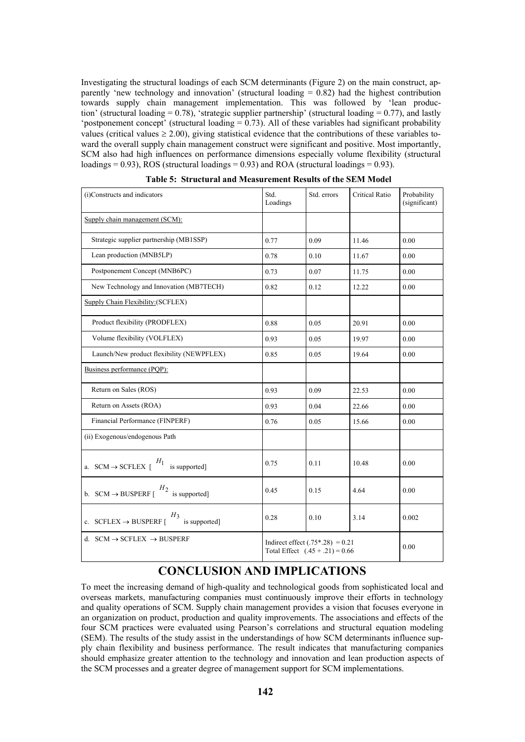Investigating the structural loadings of each SCM determinants (Figure 2) on the main construct, apparently 'new technology and innovation' (structural loading = 0.82) had the highest contribution towards supply chain management implementation. This was followed by 'lean production' (structural loading  $= 0.78$ ), 'strategic supplier partnership' (structural loading  $= 0.77$ ), and lastly 'postponement concept' (structural loading  $= 0.73$ ). All of these variables had significant probability values (critical values  $\geq 2.00$ ), giving statistical evidence that the contributions of these variables toward the overall supply chain management construct were significant and positive. Most importantly, SCM also had high influences on performance dimensions especially volume flexibility (structural loadings = 0.93), ROS (structural loadings = 0.93) and ROA (structural loadings = 0.93).

| (i)Constructs and indicators                                     | Std.<br>Loadings                                                        | Std. errors | Critical Ratio | Probability<br>(significant) |
|------------------------------------------------------------------|-------------------------------------------------------------------------|-------------|----------------|------------------------------|
| Supply chain management (SCM):                                   |                                                                         |             |                |                              |
| Strategic supplier partnership (MB1SSP)                          | 0.77                                                                    | 0.09        | 11.46          | 0.00                         |
| Lean production (MNB5LP)                                         | 0.78                                                                    | 0.10        | 11.67          | 0.00                         |
| Postponement Concept (MNB6PC)                                    | 0.73                                                                    | 0.07        | 11.75          | 0.00                         |
| New Technology and Innovation (MB7TECH)                          | 0.82                                                                    | 0.12        | 12.22          | 0.00                         |
| Supply Chain Flexibility: (SCFLEX)                               |                                                                         |             |                |                              |
| Product flexibility (PRODFLEX)                                   | 0.88                                                                    | 0.05        | 20.91          | 0.00                         |
| Volume flexibility (VOLFLEX)                                     | 0.93                                                                    | 0.05        | 19.97          | 0.00                         |
| Launch/New product flexibility (NEWPFLEX)                        | 0.85                                                                    | 0.05        | 19.64          | 0.00                         |
| Business performance (PQP):                                      |                                                                         |             |                |                              |
| Return on Sales (ROS)                                            | 0.93                                                                    | 0.09        | 22.53          | 0.00                         |
| Return on Assets (ROA)                                           | 0.93                                                                    | 0.04        | 22.66          | 0.00                         |
| Financial Performance (FINPERF)                                  | 0.76                                                                    | 0.05        | 15.66          | 0.00                         |
| (ii) Exogenous/endogenous Path                                   |                                                                         |             |                |                              |
| a. $SCM \rightarrow SCFLEX$ [ $\frac{H_1}{H_2}$<br>is supported] | 0.75                                                                    | 0.11        | 10.48          | 0.00                         |
| b. SCM $\rightarrow$ BUSPERF [ $\frac{H_2}{H_1}$ is supported]   | 0.45                                                                    | 0.15        | 4.64           | 0.00                         |
| $H_3$<br>c. $SCFLEX \rightarrow BUSPERF$ [<br>is supported]      | 0.28                                                                    | 0.10        | 3.14           | 0.002                        |
| d. $SCM \rightarrow SCFLEX \rightarrow BUSPERF$                  | Indirect effect $(.75*.28) = 0.21$<br>Total Effect $(.45 + .21) = 0.66$ |             |                | 0.00                         |

| Table 5: Structural and Measurement Results of the SEM Model |  |
|--------------------------------------------------------------|--|
|--------------------------------------------------------------|--|

### **CONCLUSION AND IMPLICATIONS**

To meet the increasing demand of high-quality and technological goods from sophisticated local and overseas markets, manufacturing companies must continuously improve their efforts in technology and quality operations of SCM. Supply chain management provides a vision that focuses everyone in an organization on product, production and quality improvements. The associations and effects of the four SCM practices were evaluated using Pearson's correlations and structural equation modeling (SEM). The results of the study assist in the understandings of how SCM determinants influence supply chain flexibility and business performance. The result indicates that manufacturing companies should emphasize greater attention to the technology and innovation and lean production aspects of the SCM processes and a greater degree of management support for SCM implementations.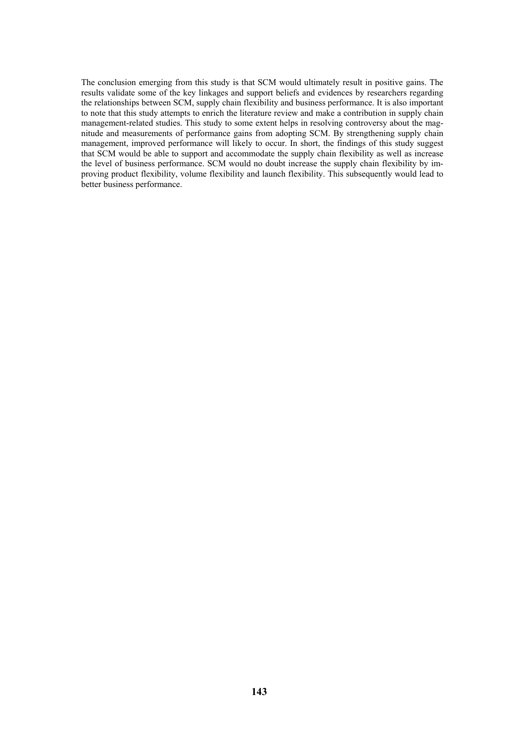The conclusion emerging from this study is that SCM would ultimately result in positive gains. The results validate some of the key linkages and support beliefs and evidences by researchers regarding the relationships between SCM, supply chain flexibility and business performance. It is also important to note that this study attempts to enrich the literature review and make a contribution in supply chain management-related studies. This study to some extent helps in resolving controversy about the magnitude and measurements of performance gains from adopting SCM. By strengthening supply chain management, improved performance will likely to occur. In short, the findings of this study suggest that SCM would be able to support and accommodate the supply chain flexibility as well as increase the level of business performance. SCM would no doubt increase the supply chain flexibility by improving product flexibility, volume flexibility and launch flexibility. This subsequently would lead to better business performance.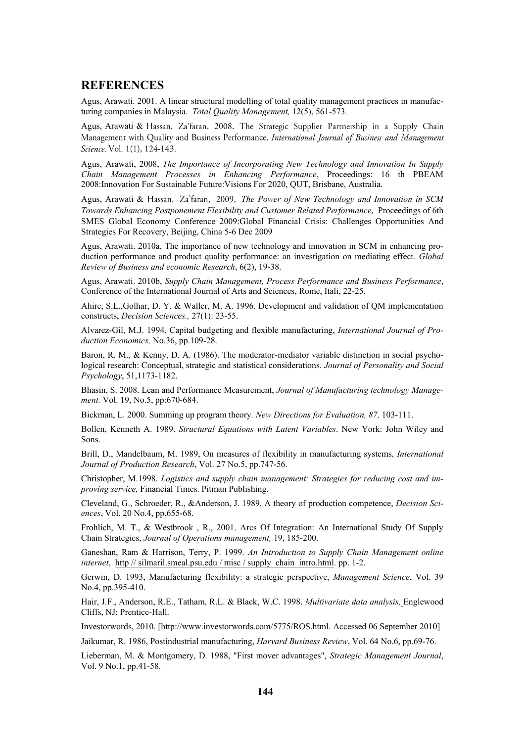#### **REFERENCES**

Agus, Arawati. 2001. A linear structural modelling of total quality management practices in manufacturing companies in Malaysia. *Total Quality Management,* 12(5), 561-573.

Agus, Arawati & Hassan, Za'faran, 2008. The Strategic Supplier Partnership in a Supply Chain Management with Quality and Business Performance. International Journal of Business and Management Science. Vol. 1(1), 124-143.

Agus, Arawati, 2008, *The Importance of Incorporating New Technology and Innovation In Supply Chain Management Processes in Enhancing Performance*, Proceedings: 16 th PBEAM 2008:Innovation For Sustainable Future:Visions For 2020, QUT, Brisbane, Australia.

Agus, Arawati & *The Power of New Technology and Innovation in SCM Towards Enhancing Postponement Flexibility and Customer Related Performance*, Proceedings of 6th SMES Global Economy Conference 2009:Global Financial Crisis: Challenges Opportunities And Strategies For Recovery, Beijing, China 5-6 Dec 2009

Agus, Arawati. 2010a, The importance of new technology and innovation in SCM in enhancing production performance and product quality performance: an investigation on mediating effect*. Global Review of Business and economic Research*, 6(2), 19-38.

Agus, Arawati. 2010b, *Supply Chain Management, Process Performance and Business Performance*, Conference of the International Journal of Arts and Sciences, Rome, Itali, 22-25.

Ahire, S.L.,Golhar, D. Y. & Waller, M. A. 1996. Development and validation of QM implementation constructs, *Decision Sciences.,* 27(1): 23-55.

Alvarez-Gil, M.J. 1994, Capital budgeting and flexible manufacturing, *International Journal of Production Economics,* No.36, pp.109-28.

Baron, R. M., & Kenny, D. A. (1986). The moderator-mediator variable distinction in social psychological research: Conceptual, strategic and statistical considerations. *Journal of Personality and Social Psychology*, 51,1173-1182.

Bhasin, S. 2008. Lean and Performance Measurement, *Journal of Manufacturing technology Management.* Vol. 19, No.5, pp:670-684.

Bickman, L. 2000. Summing up program theory*. New Directions for Evaluation, 87,* 103-111.

Bollen, Kenneth A. 1989. *Structural Equations with Latent Variables*. New York: John Wiley and Sons.

Brill, D., Mandelbaum, M. 1989, On measures of flexibility in manufacturing systems, *International Journal of Production Research*, Vol. 27 No.5, pp.747-56.

Christopher, M.1998. *Logistics and supply chain management: Strategies for reducing cost and improving service,* Financial Times. Pitman Publishing.

Cleveland, G., Schroeder, R., &Anderson, J. 1989, A theory of production competence, *Decision Sciences*, Vol. 20 No.4, pp.655-68.

Frohlich, M. T., & Westbrook , R., 2001. Arcs Of Integration: An International Study Of Supply Chain Strategies, *Journal of Operations management,* 19, 185-200.

Ganeshan, Ram & Harrison, Terry, P. 1999. *An Introduction to Supply Chain Management online internet*, http // silmaril.smeal.psu.edu / misc / supply\_chain\_intro.html. pp. 1-2.

Gerwin, D. 1993, Manufacturing flexibility: a strategic perspective, *Management Science*, Vol. 39 No.4, pp.395-410.

Hair, J.F., Anderson, R.E., Tatham, R.L. & Black, W.C. 1998. *Multivariate data analysis,* Englewood Cliffs, NJ: Prentice-Hall.

Investorwords, 2010. [http://www.investorwords.com/5775/ROS.html. Accessed 06 September 2010]

Jaikumar, R. 1986, Postindustrial manufacturing, *Harvard Business Review*, Vol. 64 No.6, pp.69-76.

Lieberman, M. & Montgomery, D. 1988, "First mover advantages", *Strategic Management Journal*, Vol. 9 No.1, pp.41-58.